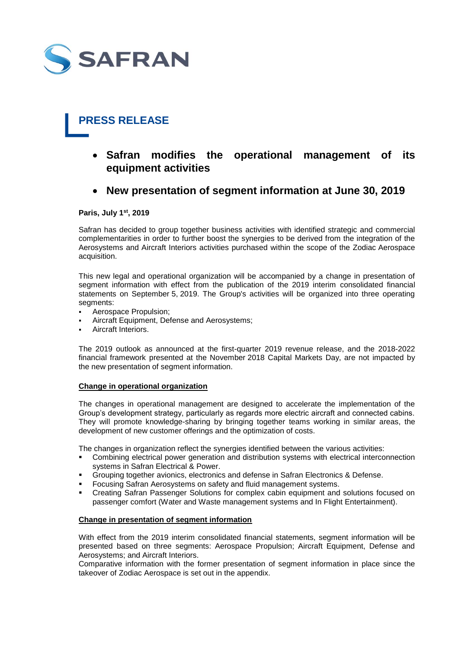

# **PRESS RELEASE**

- **Safran modifies the operational management of its equipment activities**
- **New presentation of segment information at June 30, 2019**

**Paris, July 1 st, 2019**

Safran has decided to group together business activities with identified strategic and commercial complementarities in order to further boost the synergies to be derived from the integration of the Aerosystems and Aircraft Interiors activities purchased within the scope of the Zodiac Aerospace acquisition.

This new legal and operational organization will be accompanied by a change in presentation of segment information with effect from the publication of the 2019 interim consolidated financial statements on September 5, 2019. The Group's activities will be organized into three operating segments:

- Aerospace Propulsion;
- Aircraft Equipment, Defense and Aerosystems;
- Aircraft Interiors.

The 2019 outlook as announced at the first-quarter 2019 revenue release, and the 2018-2022 financial framework presented at the November 2018 Capital Markets Day, are not impacted by the new presentation of segment information.

### **Change in operational organization**

The changes in operational management are designed to accelerate the implementation of the Group's development strategy, particularly as regards more electric aircraft and connected cabins. They will promote knowledge-sharing by bringing together teams working in similar areas, the development of new customer offerings and the optimization of costs.

The changes in organization reflect the synergies identified between the various activities:

- Combining electrical power generation and distribution systems with electrical interconnection systems in Safran Electrical & Power.
- Grouping together avionics, electronics and defense in Safran Electronics & Defense.
- Focusing Safran Aerosystems on safety and fluid management systems.
- Creating Safran Passenger Solutions for complex cabin equipment and solutions focused on passenger comfort (Water and Waste management systems and In Flight Entertainment).

### **Change in presentation of segment information**

With effect from the 2019 interim consolidated financial statements, segment information will be presented based on three segments: Aerospace Propulsion; Aircraft Equipment, Defense and Aerosystems; and Aircraft Interiors.

Comparative information with the former presentation of segment information in place since the takeover of Zodiac Aerospace is set out in the appendix.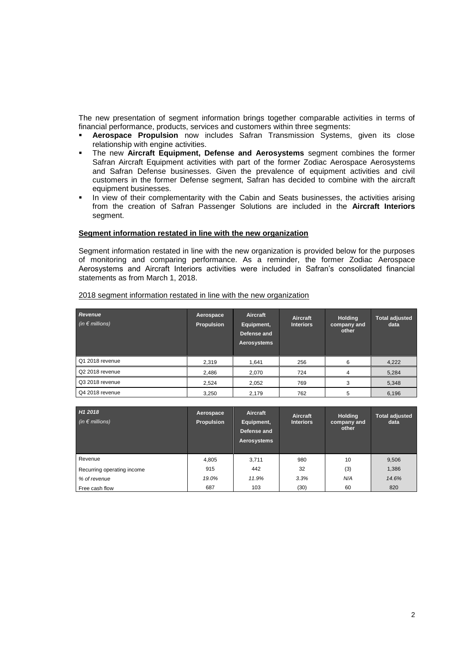The new presentation of segment information brings together comparable activities in terms of financial performance, products, services and customers within three segments:

- **Aerospace Propulsion** now includes Safran Transmission Systems, given its close relationship with engine activities.
- The new **Aircraft Equipment, Defense and Aerosystems** segment combines the former Safran Aircraft Equipment activities with part of the former Zodiac Aerospace Aerosystems and Safran Defense businesses. Given the prevalence of equipment activities and civil customers in the former Defense segment, Safran has decided to combine with the aircraft equipment businesses.
- In view of their complementarity with the Cabin and Seats businesses, the activities arising from the creation of Safran Passenger Solutions are included in the **Aircraft Interiors** segment.

# **Segment information restated in line with the new organization**

Segment information restated in line with the new organization is provided below for the purposes of monitoring and comparing performance. As a reminder, the former Zodiac Aerospace Aerosystems and Aircraft Interiors activities were included in Safran's consolidated financial statements as from March 1, 2018.

| Revenue<br>(in $\epsilon$ millions) | Aerospace<br><b>Propulsion</b> | Aircraft<br>Equipment,<br>Defense and<br>Aerosystems | Aircraft<br><b>Interiors</b> | <b>Holding</b><br>company and<br>other | <b>Total adjusted</b><br>data |
|-------------------------------------|--------------------------------|------------------------------------------------------|------------------------------|----------------------------------------|-------------------------------|
| Q1 2018 revenue                     | 2,319                          | 1.641                                                | 256                          | 6                                      | 4,222                         |
| Q2 2018 revenue                     | 2,486                          | 2,070                                                | 724                          | 4                                      | 5,284                         |
| Q3 2018 revenue                     | 2,524                          | 2,052                                                | 769                          | з                                      | 5,348                         |
| Q4 2018 revenue                     | 3,250                          | 2.179                                                | 762                          | 5                                      | 6,196                         |

# 2018 segment information restated in line with the new organization

| H <sub>1</sub> 2018<br>(in $\epsilon$ millions) | Aerospace<br>Propulsion | Aircraft<br>Equipment,<br>Defense and<br>Aerosystems | Aircraft<br><b>Interiors</b> | <b>Holding</b><br>company and<br>other | <b>Total adjusted</b><br>data |
|-------------------------------------------------|-------------------------|------------------------------------------------------|------------------------------|----------------------------------------|-------------------------------|
| Revenue                                         | 4,805                   | 3,711                                                | 980                          | 10                                     | 9,506                         |
| Recurring operating income                      | 915                     | 442                                                  | 32                           | (3)                                    | 1,386                         |
| % of revenue                                    | 19.0%                   | 11.9%                                                | 3.3%                         | N/A                                    | 14.6%                         |
| Free cash flow                                  | 687                     | 103                                                  | (30)                         | 60                                     | 820                           |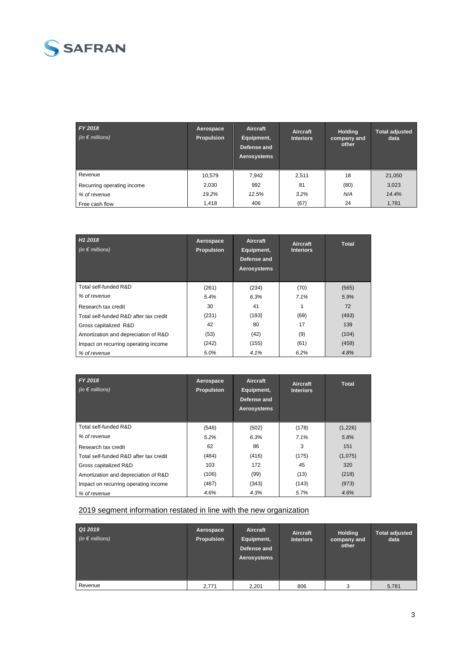

| FY 2018<br>(in $\epsilon$ millions) | Aerospace<br><b>Propulsion</b> | Aircraft<br>Equipment,<br>Defense and<br>Aerosystems | Aircraft<br><b>Interiors</b> | <b>Holding</b><br>company and<br>other | <b>Total adjusted</b><br>data |
|-------------------------------------|--------------------------------|------------------------------------------------------|------------------------------|----------------------------------------|-------------------------------|
| Revenue                             | 10,579                         | 7,942                                                | 2,511                        | 18                                     | 21,050                        |
| Recurring operating income          | 2,030                          | 992                                                  | 81                           | (80)                                   | 3,023                         |
| % of revenue                        | 19.2%                          | 12.5%                                                | 3.2%                         | N/A                                    | 14.4%                         |
| Free cash flow                      | 1.418                          | 406                                                  | (67)                         | 24                                     | 1,781                         |

| H1 2018<br>(in $\epsilon$ millions)    | Aerospace<br><b>Propulsion</b> | Aircraft<br>Equipment,<br>Defense and<br>Aerosystems | Aircraft<br><b>Interiors</b> | <b>Total</b> |
|----------------------------------------|--------------------------------|------------------------------------------------------|------------------------------|--------------|
| Total self-funded R&D                  | (261)                          | (234)                                                | (70)                         | (565)        |
| % of revenue                           | 5.4%                           | 6.3%                                                 | 7.1%                         | 5.9%         |
| Research tax credit                    | 30                             | 41                                                   |                              | 72           |
| Total self-funded R&D after tax credit | (231)                          | (193)                                                | (69)                         | (493)        |
| Gross capitalized R&D                  | 42                             | 80                                                   | 17                           | 139          |
| Amortization and depreciation of R&D   | (53)                           | (42)                                                 | (9)                          | (104)        |
| Impact on recurring operating income   | (242)                          | (155)                                                | (61)                         | (458)        |
| % of revenue                           | 5.0%                           | 4.1%                                                 | 6.2%                         | 4.8%         |

| FY 2018<br>(in $\epsilon$ millions)    | Aerospace<br><b>Propulsion</b> | Aircraft<br>Equipment,<br>Defense and<br>Aerosystems | Aircraft<br><b>Interiors</b> | <b>Total</b> |
|----------------------------------------|--------------------------------|------------------------------------------------------|------------------------------|--------------|
| Total self-funded R&D                  | (546)                          | (502)                                                | (178)                        | (1,226)      |
| % of revenue                           | 5.2%                           | 6.3%                                                 | 7.1%                         | 5.8%         |
| Research tax credit                    | 62                             | 86                                                   | 3                            | 151          |
| Total self-funded R&D after tax credit | (484)                          | (416)                                                | (175)                        | (1,075)      |
| Gross capitalized R&D                  | 103                            | 172                                                  | 45                           | 320          |
| Amortization and depreciation of R&D   | (106)                          | (99)                                                 | (13)                         | (218)        |
| Impact on recurring operating income   | (487)                          | (343)                                                | (143)                        | (973)        |
| % of revenue                           | 4.6%                           | 4.3%                                                 | 5.7%                         | 4.6%         |

# 2019 segment information restated in line with the new organization

| Q1 2019<br>(in $\epsilon$ millions) | Aerospace<br>Propulsion | Aircraft<br>Equipment,<br>Defense and<br>Aerosystems | Aircraft<br><b>Interiors</b> | <b>Holding</b><br>company and<br>other | <b>Total adjusted</b><br>data |
|-------------------------------------|-------------------------|------------------------------------------------------|------------------------------|----------------------------------------|-------------------------------|
| Revenue                             | 2,771                   | 2,201                                                | 806                          | 3                                      | 5,781                         |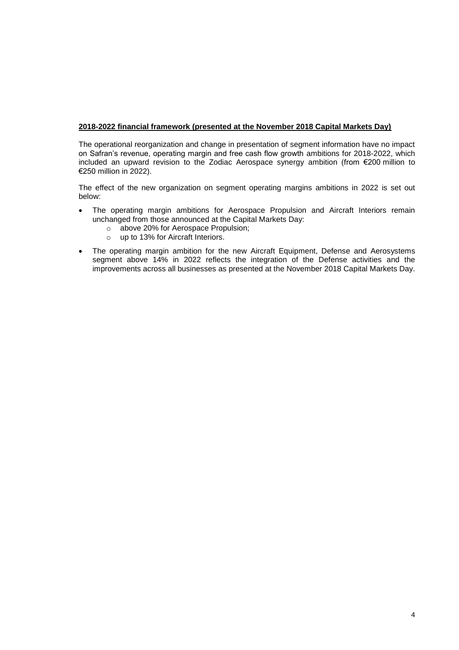# **2018-2022 financial framework (presented at the November 2018 Capital Markets Day)**

The operational reorganization and change in presentation of segment information have no impact on Safran's revenue, operating margin and free cash flow growth ambitions for 2018-2022, which included an upward revision to the Zodiac Aerospace synergy ambition (from €200 million to €250 million in 2022).

The effect of the new organization on segment operating margins ambitions in 2022 is set out below:

- The operating margin ambitions for Aerospace Propulsion and Aircraft Interiors remain unchanged from those announced at the Capital Markets Day:
	- o above 20% for Aerospace Propulsion;
	- o up to 13% for Aircraft Interiors.
- The operating margin ambition for the new Aircraft Equipment, Defense and Aerosystems segment above 14% in 2022 reflects the integration of the Defense activities and the improvements across all businesses as presented at the November 2018 Capital Markets Day.